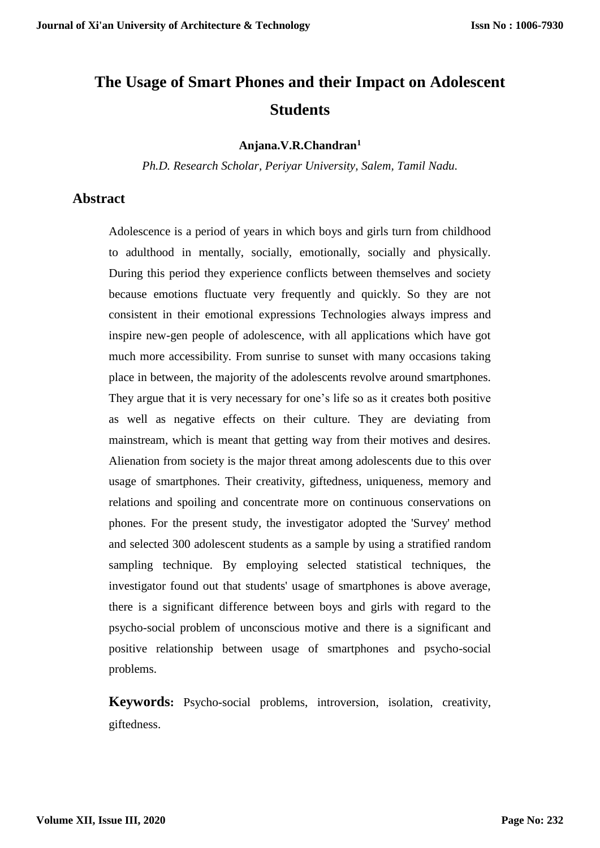# **The Usage of Smart Phones and their Impact on Adolescent Students**

#### **Anjana.V.R.Chandran<sup>1</sup>**

*Ph.D. Research Scholar, Periyar University, Salem, Tamil Nadu.*

#### **Abstract**

Adolescence is a period of years in which boys and girls turn from childhood to adulthood in mentally, socially, emotionally, socially and physically. During this period they experience conflicts between themselves and society because emotions fluctuate very frequently and quickly. So they are not consistent in their emotional expressions Technologies always impress and inspire new-gen people of adolescence, with all applications which have got much more accessibility. From sunrise to sunset with many occasions taking place in between, the majority of the adolescents revolve around smartphones. They argue that it is very necessary for one's life so as it creates both positive as well as negative effects on their culture. They are deviating from mainstream, which is meant that getting way from their motives and desires. Alienation from society is the major threat among adolescents due to this over usage of smartphones. Their creativity, giftedness, uniqueness, memory and relations and spoiling and concentrate more on continuous conservations on phones. For the present study, the investigator adopted the 'Survey' method and selected 300 adolescent students as a sample by using a stratified random sampling technique. By employing selected statistical techniques, the investigator found out that students' usage of smartphones is above average, there is a significant difference between boys and girls with regard to the psycho-social problem of unconscious motive and there is a significant and positive relationship between usage of smartphones and psycho-social problems.

**Keywords:** Psycho-social problems, introversion, isolation, creativity, giftedness.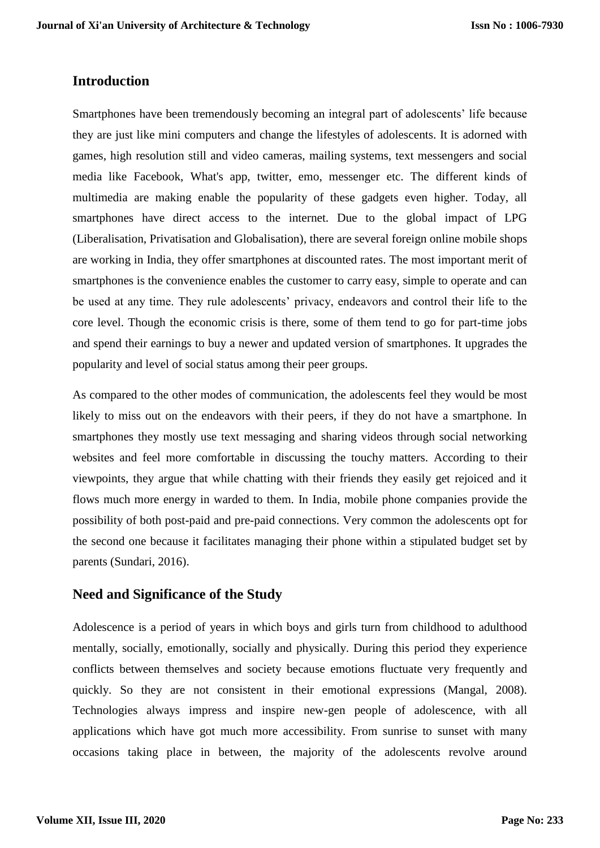### **Introduction**

Smartphones have been tremendously becoming an integral part of adolescents' life because they are just like mini computers and change the lifestyles of adolescents. It is adorned with games, high resolution still and video cameras, mailing systems, text messengers and social media like Facebook, What's app, twitter, emo, messenger etc. The different kinds of multimedia are making enable the popularity of these gadgets even higher. Today, all smartphones have direct access to the internet. Due to the global impact of LPG (Liberalisation, Privatisation and Globalisation), there are several foreign online mobile shops are working in India, they offer smartphones at discounted rates. The most important merit of smartphones is the convenience enables the customer to carry easy, simple to operate and can be used at any time. They rule adolescents' privacy, endeavors and control their life to the core level. Though the economic crisis is there, some of them tend to go for part-time jobs and spend their earnings to buy a newer and updated version of smartphones. It upgrades the popularity and level of social status among their peer groups.

As compared to the other modes of communication, the adolescents feel they would be most likely to miss out on the endeavors with their peers, if they do not have a smartphone. In smartphones they mostly use text messaging and sharing videos through social networking websites and feel more comfortable in discussing the touchy matters. According to their viewpoints, they argue that while chatting with their friends they easily get rejoiced and it flows much more energy in warded to them. In India, mobile phone companies provide the possibility of both post-paid and pre-paid connections. Very common the adolescents opt for the second one because it facilitates managing their phone within a stipulated budget set by parents (Sundari, 2016).

#### **Need and Significance of the Study**

Adolescence is a period of years in which boys and girls turn from childhood to adulthood mentally, socially, emotionally, socially and physically. During this period they experience conflicts between themselves and society because emotions fluctuate very frequently and quickly. So they are not consistent in their emotional expressions (Mangal, 2008). Technologies always impress and inspire new-gen people of adolescence, with all applications which have got much more accessibility. From sunrise to sunset with many occasions taking place in between, the majority of the adolescents revolve around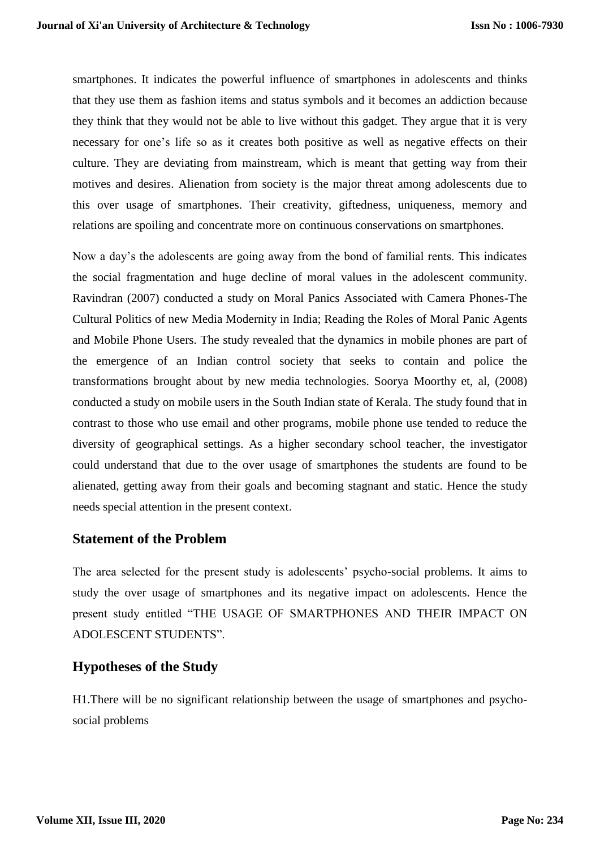smartphones. It indicates the powerful influence of smartphones in adolescents and thinks that they use them as fashion items and status symbols and it becomes an addiction because they think that they would not be able to live without this gadget. They argue that it is very necessary for one's life so as it creates both positive as well as negative effects on their culture. They are deviating from mainstream, which is meant that getting way from their motives and desires. Alienation from society is the major threat among adolescents due to this over usage of smartphones. Their creativity, giftedness, uniqueness, memory and relations are spoiling and concentrate more on continuous conservations on smartphones.

Now a day's the adolescents are going away from the bond of familial rents. This indicates the social fragmentation and huge decline of moral values in the adolescent community. Ravindran (2007) conducted a study on Moral Panics Associated with Camera Phones-The Cultural Politics of new Media Modernity in India; Reading the Roles of Moral Panic Agents and Mobile Phone Users. The study revealed that the dynamics in mobile phones are part of the emergence of an Indian control society that seeks to contain and police the transformations brought about by new media technologies. Soorya Moorthy et, al, (2008) conducted a study on mobile users in the South Indian state of Kerala. The study found that in contrast to those who use email and other programs, mobile phone use tended to reduce the diversity of geographical settings. As a higher secondary school teacher, the investigator could understand that due to the over usage of smartphones the students are found to be alienated, getting away from their goals and becoming stagnant and static. Hence the study needs special attention in the present context.

#### **Statement of the Problem**

The area selected for the present study is adolescents' psycho-social problems. It aims to study the over usage of smartphones and its negative impact on adolescents. Hence the present study entitled "THE USAGE OF SMARTPHONES AND THEIR IMPACT ON ADOLESCENT STUDENTS".

#### **Hypotheses of the Study**

H1.There will be no significant relationship between the usage of smartphones and psychosocial problems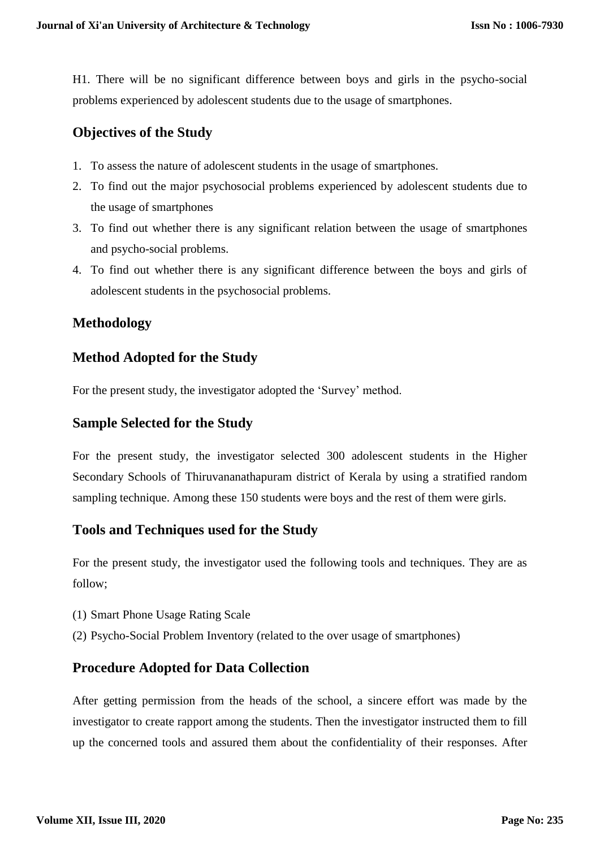H1. There will be no significant difference between boys and girls in the psycho-social problems experienced by adolescent students due to the usage of smartphones.

## **Objectives of the Study**

- 1. To assess the nature of adolescent students in the usage of smartphones.
- 2. To find out the major psychosocial problems experienced by adolescent students due to the usage of smartphones
- 3. To find out whether there is any significant relation between the usage of smartphones and psycho-social problems.
- 4. To find out whether there is any significant difference between the boys and girls of adolescent students in the psychosocial problems.

## **Methodology**

## **Method Adopted for the Study**

For the present study, the investigator adopted the 'Survey' method.

## **Sample Selected for the Study**

For the present study, the investigator selected 300 adolescent students in the Higher Secondary Schools of Thiruvananathapuram district of Kerala by using a stratified random sampling technique. Among these 150 students were boys and the rest of them were girls.

## **Tools and Techniques used for the Study**

For the present study, the investigator used the following tools and techniques. They are as follow;

- (1) Smart Phone Usage Rating Scale
- (2) Psycho-Social Problem Inventory (related to the over usage of smartphones)

#### **Procedure Adopted for Data Collection**

After getting permission from the heads of the school, a sincere effort was made by the investigator to create rapport among the students. Then the investigator instructed them to fill up the concerned tools and assured them about the confidentiality of their responses. After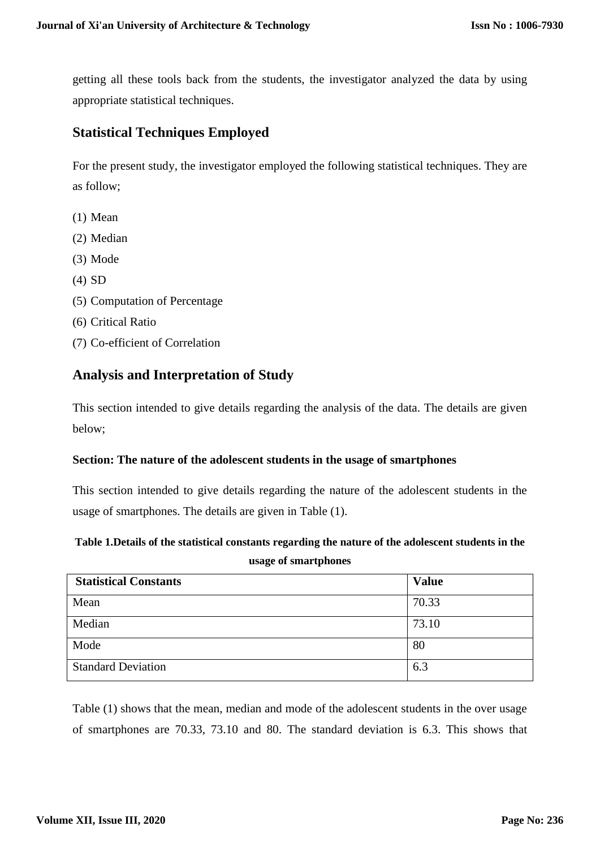getting all these tools back from the students, the investigator analyzed the data by using appropriate statistical techniques.

## **Statistical Techniques Employed**

For the present study, the investigator employed the following statistical techniques. They are as follow;

- (1) Mean
- (2) Median
- (3) Mode
- (4) SD
- (5) Computation of Percentage
- (6) Critical Ratio
- (7) Co-efficient of Correlation

#### **Analysis and Interpretation of Study**

This section intended to give details regarding the analysis of the data. The details are given below;

#### **Section: The nature of the adolescent students in the usage of smartphones**

This section intended to give details regarding the nature of the adolescent students in the usage of smartphones. The details are given in Table (1).

#### **Table 1.Details of the statistical constants regarding the nature of the adolescent students in the usage of smartphones**

| <b>Statistical Constants</b> | <b>Value</b> |
|------------------------------|--------------|
| Mean                         | 70.33        |
| Median                       | 73.10        |
| Mode                         | 80           |
| <b>Standard Deviation</b>    | 6.3          |

Table (1) shows that the mean, median and mode of the adolescent students in the over usage of smartphones are 70.33, 73.10 and 80. The standard deviation is 6.3. This shows that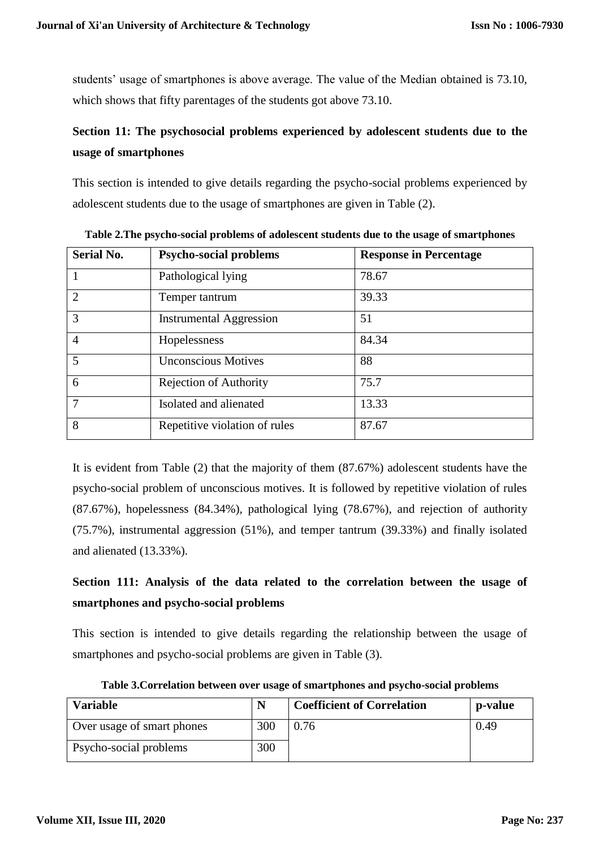students' usage of smartphones is above average. The value of the Median obtained is 73.10, which shows that fifty parentages of the students got above 73.10.

# **Section 11: The psychosocial problems experienced by adolescent students due to the usage of smartphones**

This section is intended to give details regarding the psycho-social problems experienced by adolescent students due to the usage of smartphones are given in Table (2).

| <b>Serial No.</b> | <b>Psycho-social problems</b>  | <b>Response in Percentage</b> |  |  |
|-------------------|--------------------------------|-------------------------------|--|--|
|                   | Pathological lying             | 78.67                         |  |  |
| $\overline{2}$    | Temper tantrum                 | 39.33                         |  |  |
| 3                 | <b>Instrumental Aggression</b> | 51                            |  |  |
| $\overline{4}$    | Hopelessness                   | 84.34                         |  |  |
| 5                 | <b>Unconscious Motives</b>     | 88                            |  |  |
| 6                 | <b>Rejection of Authority</b>  | 75.7                          |  |  |
| 7                 | Isolated and alienated         | 13.33                         |  |  |
| 8                 | Repetitive violation of rules  | 87.67                         |  |  |

**Table 2.The psycho-social problems of adolescent students due to the usage of smartphones**

It is evident from Table (2) that the majority of them (87.67%) adolescent students have the psycho-social problem of unconscious motives. It is followed by repetitive violation of rules (87.67%), hopelessness (84.34%), pathological lying (78.67%), and rejection of authority (75.7%), instrumental aggression (51%), and temper tantrum (39.33%) and finally isolated and alienated (13.33%).

# **Section 111: Analysis of the data related to the correlation between the usage of smartphones and psycho-social problems**

This section is intended to give details regarding the relationship between the usage of smartphones and psycho-social problems are given in Table (3).

| <b>Variable</b>            | N   | <b>Coefficient of Correlation</b> | p-value |
|----------------------------|-----|-----------------------------------|---------|
| Over usage of smart phones | 300 | 0.76                              | 0.49    |
| Psycho-social problems     | 300 |                                   |         |

**Table 3.Correlation between over usage of smartphones and psycho-social problems**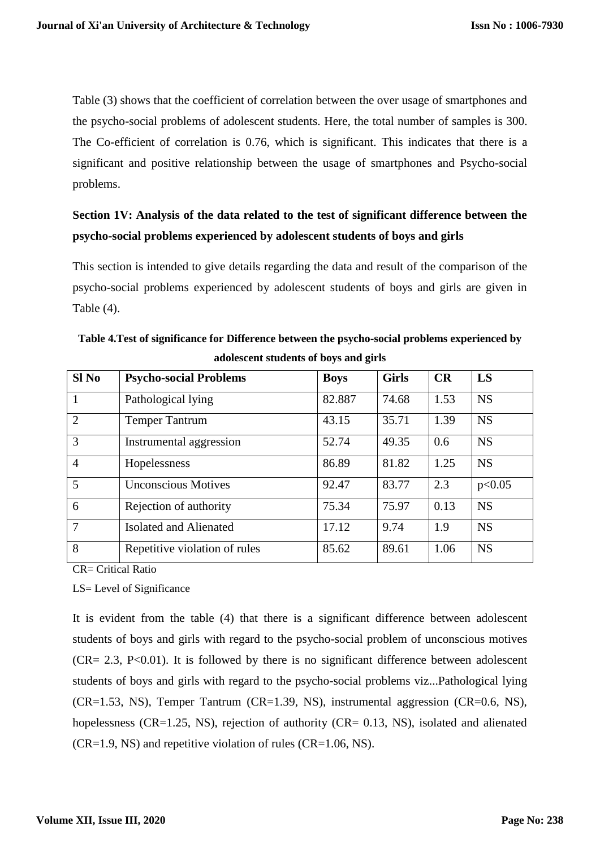Table (3) shows that the coefficient of correlation between the over usage of smartphones and the psycho-social problems of adolescent students. Here, the total number of samples is 300. The Co-efficient of correlation is 0.76, which is significant. This indicates that there is a significant and positive relationship between the usage of smartphones and Psycho-social problems.

# **Section 1V: Analysis of the data related to the test of significant difference between the psycho-social problems experienced by adolescent students of boys and girls**

This section is intended to give details regarding the data and result of the comparison of the psycho-social problems experienced by adolescent students of boys and girls are given in Table (4).

| $SI$ No        | <b>Psycho-social Problems</b> | <b>Boys</b> | <b>Girls</b> | CR   | LS        |
|----------------|-------------------------------|-------------|--------------|------|-----------|
| $\mathbf{1}$   | Pathological lying            | 82.887      | 74.68        | 1.53 | <b>NS</b> |
| $\overline{2}$ | <b>Temper Tantrum</b>         | 43.15       | 35.71        | 1.39 | <b>NS</b> |
| 3              | Instrumental aggression       | 52.74       | 49.35        | 0.6  | <b>NS</b> |
| $\overline{4}$ | Hopelessness                  | 86.89       | 81.82        | 1.25 | <b>NS</b> |
| 5              | <b>Unconscious Motives</b>    | 92.47       | 83.77        | 2.3  | p<0.05    |
| 6              | Rejection of authority        | 75.34       | 75.97        | 0.13 | <b>NS</b> |
| $\overline{7}$ | <b>Isolated and Alienated</b> | 17.12       | 9.74         | 1.9  | <b>NS</b> |
| 8              | Repetitive violation of rules | 85.62       | 89.61        | 1.06 | <b>NS</b> |

**Table 4.Test of significance for Difference between the psycho-social problems experienced by adolescent students of boys and girls**

CR= Critical Ratio

LS= Level of Significance

It is evident from the table (4) that there is a significant difference between adolescent students of boys and girls with regard to the psycho-social problem of unconscious motives  $(CR = 2.3, P < 0.01)$ . It is followed by there is no significant difference between adolescent students of boys and girls with regard to the psycho-social problems viz...Pathological lying (CR=1.53, NS), Temper Tantrum (CR=1.39, NS), instrumental aggression (CR=0.6, NS), hopelessness (CR=1.25, NS), rejection of authority (CR= 0.13, NS), isolated and alienated  $(CR=1.9, NS)$  and repetitive violation of rules  $(CR=1.06, NS)$ .